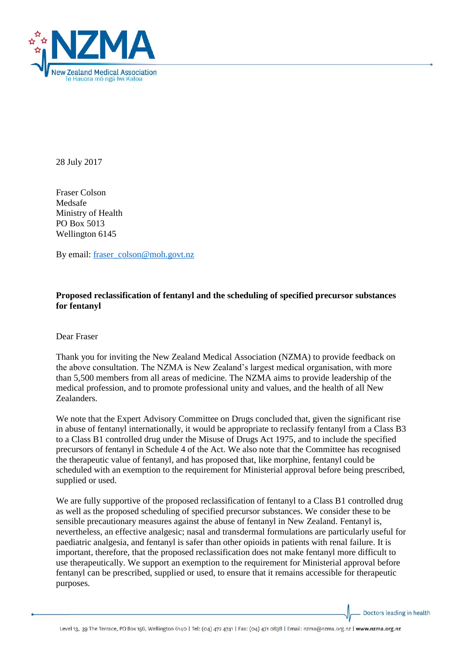

28 July 2017

Fraser Colson Medsafe Ministry of Health PO Box 5013 Wellington 6145

By email: [fraser\\_colson@moh.govt.nz](mailto:fraser_colson@moh.govt.nz)

## **Proposed reclassification of fentanyl and the scheduling of specified precursor substances for fentanyl**

Dear Fraser

Thank you for inviting the New Zealand Medical Association (NZMA) to provide feedback on the above consultation. The NZMA is New Zealand's largest medical organisation, with more than 5,500 members from all areas of medicine. The NZMA aims to provide leadership of the medical profession, and to promote professional unity and values, and the health of all New Zealanders.

We note that the Expert Advisory Committee on Drugs concluded that, given the significant rise in abuse of fentanyl internationally, it would be appropriate to reclassify fentanyl from a Class B3 to a Class B1 controlled drug under the Misuse of Drugs Act 1975, and to include the specified precursors of fentanyl in Schedule 4 of the Act. We also note that the Committee has recognised the therapeutic value of fentanyl, and has proposed that, like morphine, fentanyl could be scheduled with an exemption to the requirement for Ministerial approval before being prescribed, supplied or used.

We are fully supportive of the proposed reclassification of fentanyl to a Class B1 controlled drug as well as the proposed scheduling of specified precursor substances. We consider these to be sensible precautionary measures against the abuse of fentanyl in New Zealand. Fentanyl is, nevertheless, an effective analgesic; nasal and transdermal formulations are particularly useful for paediatric analgesia, and fentanyl is safer than other opioids in patients with renal failure. It is important, therefore, that the proposed reclassification does not make fentanyl more difficult to use therapeutically. We support an exemption to the requirement for Ministerial approval before fentanyl can be prescribed, supplied or used, to ensure that it remains accessible for therapeutic purposes.

Doctors leading in health